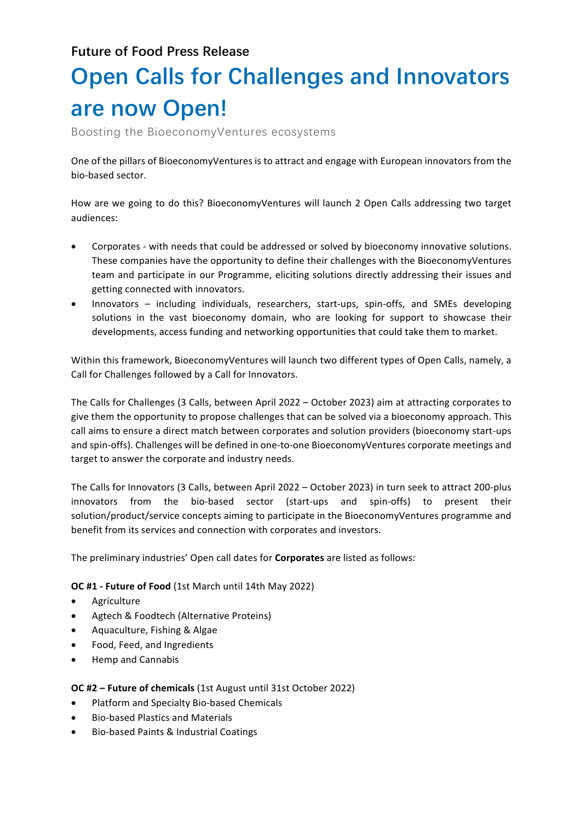**Future of Food Press Release**

## **Open Calls for Challenges and Innovators are now Open!**

Boosting the BioeconomyVentures ecosystems

One of the pillars of BioeconomyVentures is to attract and engage with European innovators from the bio-based sector.

How are we going to do this? BioeconomyVentures will launch 2 Open Calls addressing two target audiences: 

- Corporates with needs that could be addressed or solved by bioeconomy innovative solutions. These companies have the opportunity to define their challenges with the BioeconomyVentures team and participate in our Programme, eliciting solutions directly addressing their issues and getting connected with innovators.
- Innovators including individuals, researchers, start-ups, spin-offs, and SMEs developing solutions in the vast bioeconomy domain, who are looking for support to showcase their developments, access funding and networking opportunities that could take them to market.

Within this framework, BioeconomyVentures will launch two different types of Open Calls, namely, a Call for Challenges followed by a Call for Innovators.

The Calls for Challenges (3 Calls, between April 2022 – October 2023) aim at attracting corporates to give them the opportunity to propose challenges that can be solved via a bioeconomy approach. This call aims to ensure a direct match between corporates and solution providers (bioeconomy start-ups and spin-offs). Challenges will be defined in one-to-one BioeconomyVentures corporate meetings and target to answer the corporate and industry needs.

The Calls for Innovators (3 Calls, between April 2022 – October 2023) in turn seek to attract 200-plus innovators from the bio-based sector (start-ups and spin-offs) to present their solution/product/service concepts aiming to participate in the BioeconomyVentures programme and benefit from its services and connection with corporates and investors.

The preliminary industries' Open call dates for **Corporates** are listed as follows:

**OC #1 - Future of Food** (1st March until 14th May 2022)

- Agriculture
- Agtech & Foodtech (Alternative Proteins)
- Aquaculture, Fishing & Algae
- Food, Feed, and Ingredients
- Hemp and Cannabis

## **OC #2 - Future of chemicals** (1st August until 31st October 2022)

- Platform and Specialty Bio-based Chemicals
- Bio-based Plastics and Materials
- Bio-based Paints & Industrial Coatings